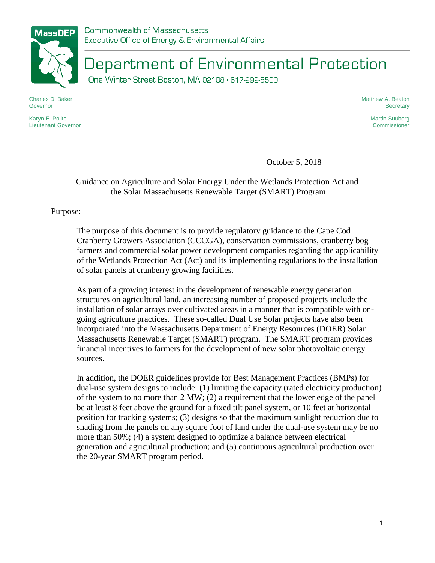

Department of Environmental Protection

One Winter Street Boston, MA 02108 · 617-292-5500

Charles D. Baker Governor

Karyn E. Polito Lieutenant Governor Matthew A. Beaton **Secretary** 

> Martin Suuberg Commissioner

October 5, 2018

# Guidance on Agriculture and Solar Energy Under the Wetlands Protection Act and the Solar Massachusetts Renewable Target (SMART) Program

## Purpose:

The purpose of this document is to provide regulatory guidance to the Cape Cod Cranberry Growers Association (CCCGA), conservation commissions, cranberry bog farmers and commercial solar power development companies regarding the applicability of the Wetlands Protection Act (Act) and its implementing regulations to the installation of solar panels at cranberry growing facilities.

As part of a growing interest in the development of renewable energy generation structures on agricultural land, an increasing number of proposed projects include the installation of solar arrays over cultivated areas in a manner that is compatible with ongoing agriculture practices. These so-called Dual Use Solar projects have also been incorporated into the Massachusetts Department of Energy Resources (DOER) Solar Massachusetts Renewable Target (SMART) program. The SMART program provides financial incentives to farmers for the development of new solar photovoltaic energy sources.

In addition, the DOER guidelines provide for Best Management Practices (BMPs) for dual-use system designs to include: (1) limiting the capacity (rated electricity production) of the system to no more than 2 MW; (2) a requirement that the lower edge of the panel be at least 8 feet above the ground for a fixed tilt panel system, or 10 feet at horizontal position for tracking systems; (3) designs so that the maximum sunlight reduction due to shading from the panels on any square foot of land under the dual-use system may be no more than 50%; (4) a system designed to optimize a balance between electrical generation and agricultural production; and (5) continuous agricultural production over the 20-year SMART program period.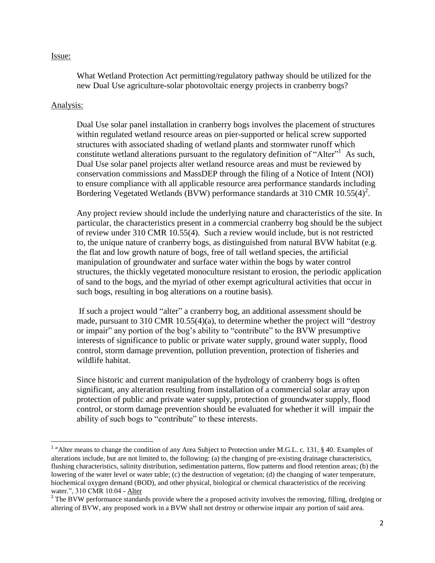### Issue:

What Wetland Protection Act permitting/regulatory pathway should be utilized for the new Dual Use agriculture-solar photovoltaic energy projects in cranberry bogs?

## Analysis:

l

Dual Use solar panel installation in cranberry bogs involves the placement of structures within regulated wetland resource areas on pier-supported or helical screw supported structures with associated shading of wetland plants and stormwater runoff which constitute wetland alterations pursuant to the regulatory definition of "Alter"<sup>1</sup> As such, Dual Use solar panel projects alter wetland resource areas and must be reviewed by conservation commissions and MassDEP through the filing of a Notice of Intent (NOI) to ensure compliance with all applicable resource area performance standards including Bordering Vegetated Wetlands (BVW) performance standards at 310 CMR  $10.55(4)^2$ .

Any project review should include the underlying nature and characteristics of the site. In particular, the characteristics present in a commercial cranberry bog should be the subject of review under 310 CMR 10.55(4). Such a review would include, but is not restricted to, the unique nature of cranberry bogs, as distinguished from natural BVW habitat (e.g. the flat and low growth nature of bogs, free of tall wetland species, the artificial manipulation of groundwater and surface water within the bogs by water control structures, the thickly vegetated monoculture resistant to erosion, the periodic application of sand to the bogs, and the myriad of other exempt agricultural activities that occur in such bogs, resulting in bog alterations on a routine basis).

If such a project would "alter" a cranberry bog, an additional assessment should be made, pursuant to 310 CMR 10.55(4)(a), to determine whether the project will "destroy or impair" any portion of the bog's ability to "contribute" to the BVW presumptive interests of significance to public or private water supply, ground water supply, flood control, storm damage prevention, pollution prevention, protection of fisheries and wildlife habitat.

Since historic and current manipulation of the hydrology of cranberry bogs is often significant, any alteration resulting from installation of a commercial solar array upon protection of public and private water supply, protection of groundwater supply, flood control, or storm damage prevention should be evaluated for whether it will impair the ability of such bogs to "contribute" to these interests.

<sup>&</sup>lt;sup>1</sup> "Alter means to change the condition of any Area Subject to Protection under M.G.L. c. 131, § 40. Examples of alterations include, but are not limited to, the following: (a) the changing of pre-existing drainage characteristics, flushing characteristics, salinity distribution, sedimentation patterns, flow patterns and flood retention areas; (b) the lowering of the water level or water table; (c) the destruction of vegetation; (d) the changing of water temperature, biochemical oxygen demand (BOD), and other physical, biological or chemical characteristics of the receiving water.", 310 CMR 10.04 - Alter

 $2^2$  The BVW performance standards provide where the a proposed activity involves the removing, filling, dredging or altering of BVW, any proposed work in a BVW shall not destroy or otherwise impair any portion of said area.